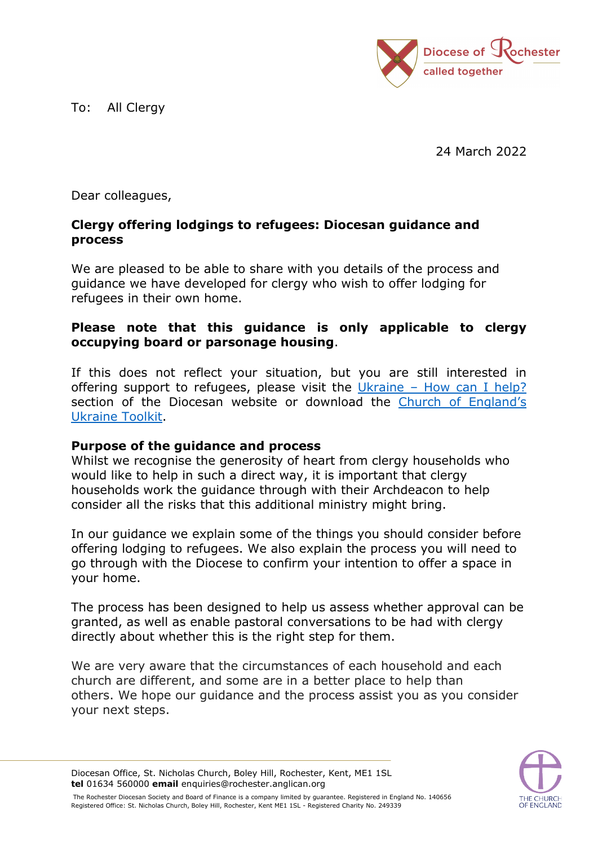To: All Clergy



24 March 2022

Dear colleagues,

## **Clergy offering lodgings to refugees: Diocesan guidance and process**

We are pleased to be able to share with you details of the process and guidance we have developed for clergy who wish to offer lodging for refugees in their own home.

## **Please note that this guidance is only applicable to clergy occupying board or parsonage housing**.

If this does not reflect your situation, but you are still interested in offering support to refugees, please visit the Ukraine – [How can I help?](https://www.rochester.anglican.org/everyday-faith/ourfaithinaction/ukraine/) section of the Diocesan website or download the [Church of England's](https://www.churchofengland.org/media-and-news/press-releases/war-ukraine-advice-parishes-helping-refugees)  [Ukraine Toolkit.](https://www.churchofengland.org/media-and-news/press-releases/war-ukraine-advice-parishes-helping-refugees)

## **Purpose of the guidance and process**

Whilst we recognise the generosity of heart from clergy households who would like to help in such a direct way, it is important that clergy households work the guidance through with their Archdeacon to help consider all the risks that this additional ministry might bring.

In our guidance we explain some of the things you should consider before offering lodging to refugees. We also explain the process you will need to go through with the Diocese to confirm your intention to offer a space in your home.

The process has been designed to help us assess whether approval can be granted, as well as enable pastoral conversations to be had with clergy directly about whether this is the right step for them.

We are very aware that the circumstances of each household and each church are different, and some are in a better place to help than others. We hope our guidance and the process assist you as you consider your next steps.



Diocesan Office, St. Nicholas Church, Boley Hill, Rochester, Kent, ME1 1SL **tel** 01634 560000 **email** enquiries@rochester.anglican.org